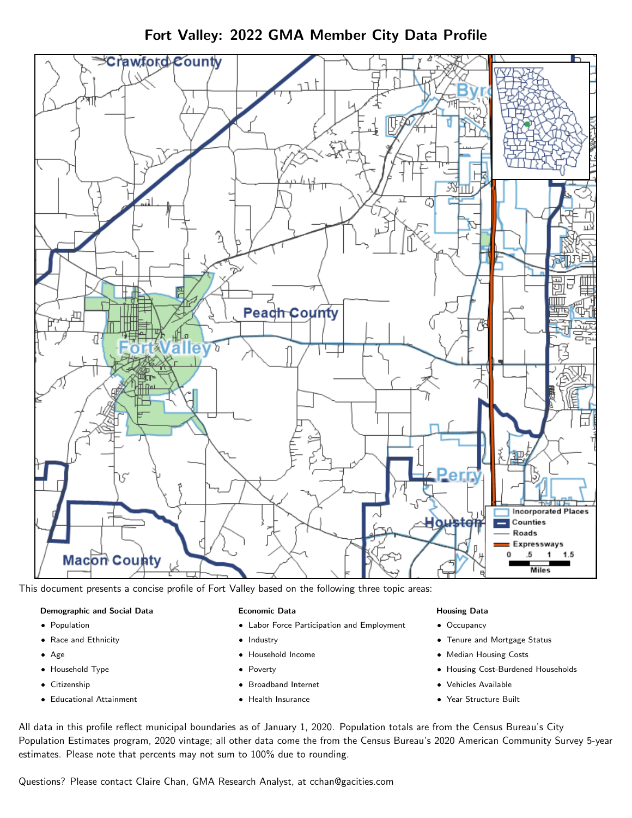Fort Valley: 2022 GMA Member City Data Profile



This document presents a concise profile of Fort Valley based on the following three topic areas:

#### Demographic and Social Data

- **•** Population
- Race and Ethnicity
- Age
- Household Type
- **Citizenship**
- Educational Attainment

### Economic Data

- Labor Force Participation and Employment
- Industry
- Household Income
- Poverty
- Broadband Internet
- Health Insurance

### Housing Data

- Occupancy
- Tenure and Mortgage Status
- Median Housing Costs
- Housing Cost-Burdened Households
- Vehicles Available
- Year Structure Built

All data in this profile reflect municipal boundaries as of January 1, 2020. Population totals are from the Census Bureau's City Population Estimates program, 2020 vintage; all other data come the from the Census Bureau's 2020 American Community Survey 5-year estimates. Please note that percents may not sum to 100% due to rounding.

Questions? Please contact Claire Chan, GMA Research Analyst, at [cchan@gacities.com.](mailto:cchan@gacities.com)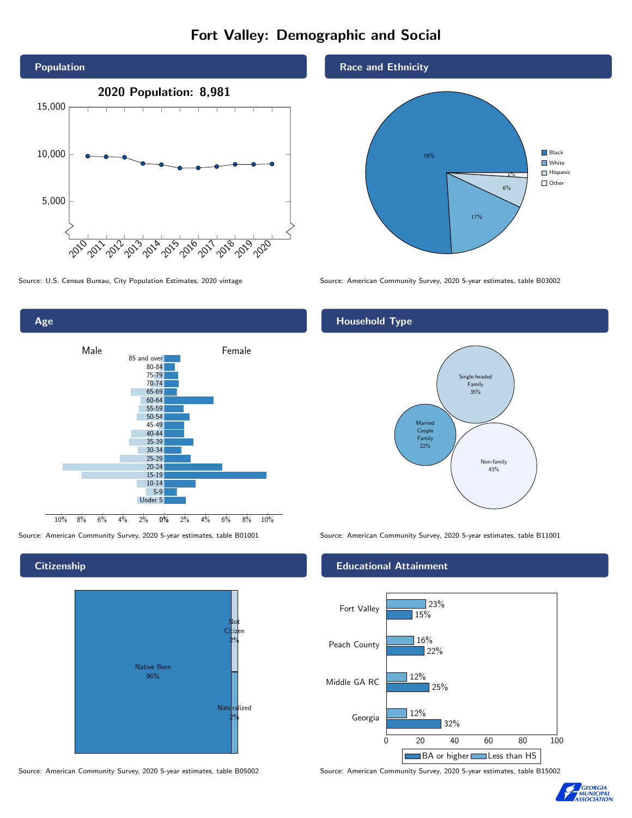# Fort Valley: Demographic and Social





## **Citizenship**



Source: American Community Survey, 2020 5-year estimates, table B05002 Source: American Community Survey, 2020 5-year estimates, table B15002



Source: U.S. Census Bureau, City Population Estimates, 2020 vintage Source: American Community Survey, 2020 5-year estimates, table B03002

# Household Type



Source: American Community Survey, 2020 5-year estimates, table B01001 Source: American Community Survey, 2020 5-year estimates, table B11001

### Educational Attainment



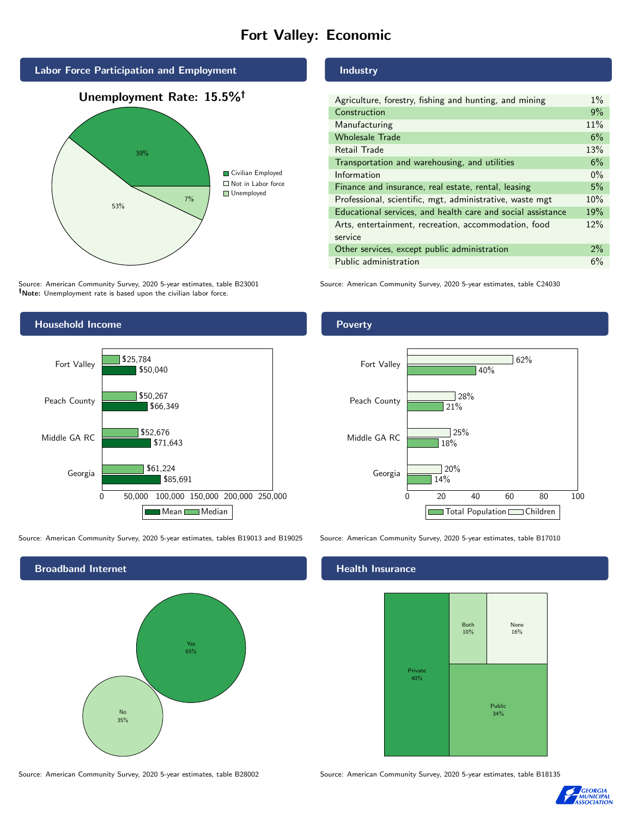# Fort Valley: Economic



Source: American Community Survey, 2020 5-year estimates, table B23001 Note: Unemployment rate is based upon the civilian labor force.

#### Industry

| Agriculture, forestry, fishing and hunting, and mining      | $1\%$ |
|-------------------------------------------------------------|-------|
| Construction                                                | 9%    |
| Manufacturing                                               | 11%   |
| <b>Wholesale Trade</b>                                      | 6%    |
| Retail Trade                                                | 13%   |
| Transportation and warehousing, and utilities               | 6%    |
| Information                                                 | $0\%$ |
| Finance and insurance, real estate, rental, leasing         | 5%    |
| Professional, scientific, mgt, administrative, waste mgt    | 10%   |
| Educational services, and health care and social assistance | 19%   |
| Arts, entertainment, recreation, accommodation, food        | 12%   |
| service                                                     |       |
| Other services, except public administration                | 2%    |
| Public administration                                       | 6%    |

Source: American Community Survey, 2020 5-year estimates, table C24030



Source: American Community Survey, 2020 5-year estimates, tables B19013 and B19025 Source: American Community Survey, 2020 5-year estimates, table B17010

Broadband Internet No 35% Yes 65%

#### Health Insurance



Source: American Community Survey, 2020 5-year estimates, table B28002 Source: American Community Survey, 2020 5-year estimates, table B18135



### Poverty